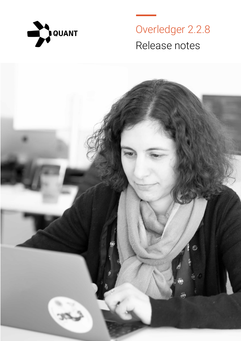

Overledger 2.2.8 Release notes

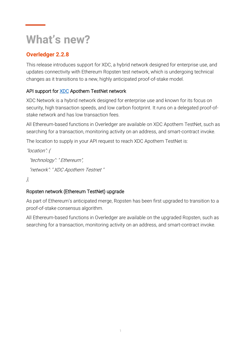# **What's new?**

## **Overledger 2.2.8**

This release introduces support for XDC, a hybrid network designed for enterprise use, and updates connectivity with Ethereum Ropsten test network, which is undergoing technical changes as it transitions to a new, highly anticipated proof-of-stake model.

### API support for **XDC** Apothem TestNet network

XDC Network is a hybrid network designed for enterprise use and known for its focus on security, high transaction speeds, and low carbon footprint. It runs on a delegated proof-ofstake network and has low transaction fees.

All Ethereum-based functions in Overledger are available on XDC Apothem TestNet, such as searching for a transaction, monitoring activity on an address, and smart-contract invoke.

The location to supply in your API request to reach XDC Apothem TestNet is:

```
"location": {
"technology": " Ethereum",
"network": " XDC Apothem Testnet "
```
### },

### Ropsten network (Ethereum TestNet) upgrade

As part of Ethereum's anticipated merge, Ropsten has been first upgraded to transition to a proof-of-stake consensus algorithm.

All Ethereum-based functions in Overledger are available on the upgraded Ropsten, such as searching for a transaction, monitoring activity on an address, and smart-contract invoke.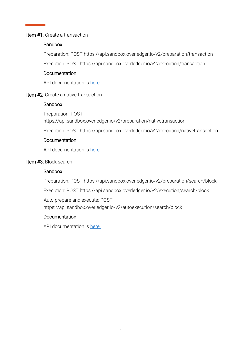#### Item #1: Create a transaction

#### **Sandbox**

Preparation: POST https://api.sandbox.overledger.io/v2/preparation/transaction

Execution: POST<https://api.sandbox.overledger.io/v2/execution/transaction>

#### Documentation

API documentation is [here.](https://docs.overledger.io/)

#### Item #2: Create a native transaction

#### **Sandbox**

Preparation: POST <https://api.sandbox.overledger.io/v2/preparation/nativetransaction>

Execution: POST<https://api.sandbox.overledger.io/v2/execution/nativetransaction>

#### Documentation

API documentation is [here.](https://docs.overledger.io/)

#### Item #3: Block search

#### **Sandbox**

Preparation: POST https://api.sandbox.overledger.io/v2/preparation/search/block

Execution: POST https://api.sandbox.overledger.io/v2/execution/search/block

Auto prepare and execute: POST https://api.sandbox.overledger.io/v2/autoexecution/search/block

#### Documentation

API documentation is [here.](https://docs.overledger.io/)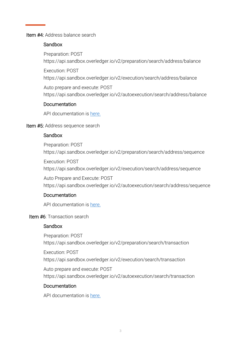#### Item #4: Address balance search

#### Sandbox

Preparation: POST https://api.sandbox.overledger.io/v2/preparation/search/address/balance

Execution: POST

https://api.sandbox.overledger.io/v2/execution/search/address/balance

Auto prepare and execute: POST https://api.sandbox.overledger.io/v2/autoexecution/search/address/balance

#### **Documentation**

API documentation is [here.](https://docs.overledger.io/)

#### Item #5: Address sequence search

#### **Sandbox**

Preparation: POST https://api.sandbox.overledger.io/v2/preparation/search/address/sequence

Execution: POST https://api.sandbox.overledger.io/v2/execution/search/address/sequence

Auto Prepare and Execute: POST https://api.sandbox.overledger.io/v2/autoexecution/search/address/sequence

#### **Documentation**

API documentation is [here.](https://docs.overledger.io/)

#### Item #6: Transaction search

#### Sandbox

Preparation: POST https://api.sandbox.overledger.io/v2/preparation/search/transaction

Execution: POST https://api.sandbox.overledger.io/v2/execution/search/transaction

Auto prepare and execute: POST https://api.sandbox.overledger.io/v2/autoexecution/search/transaction

#### Documentation

API documentation is [here.](https://docs.overledger.io/)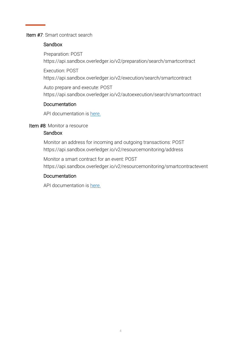#### Item #7: Smart contract search

#### **Sandbox**

Preparation: POST https://api.sandbox.overledger.io/v2/preparation/search/smartcontract

Execution: POST

https://api.sandbox.overledger.io/v2/execution/search/smartcontract

Auto prepare and execute: POST https://api.sandbox.overledger.io/v2/autoexecution/search/smartcontract

#### **Documentation**

API documentation is [here.](https://docs.overledger.io/)

#### Item #8: Monitor a resource

#### Sandbox

Monitor an address for incoming and outgoing transactions: POST https://api.sandbox.overledger.io/v2/resourcemonitoring/address

Monitor a smart contract for an event: POST https://api.sandbox.overledger.io/v2/resourcemonitoring/smartcontractevent

#### Documentation

API documentation is [here.](https://docs.overledger.io/)